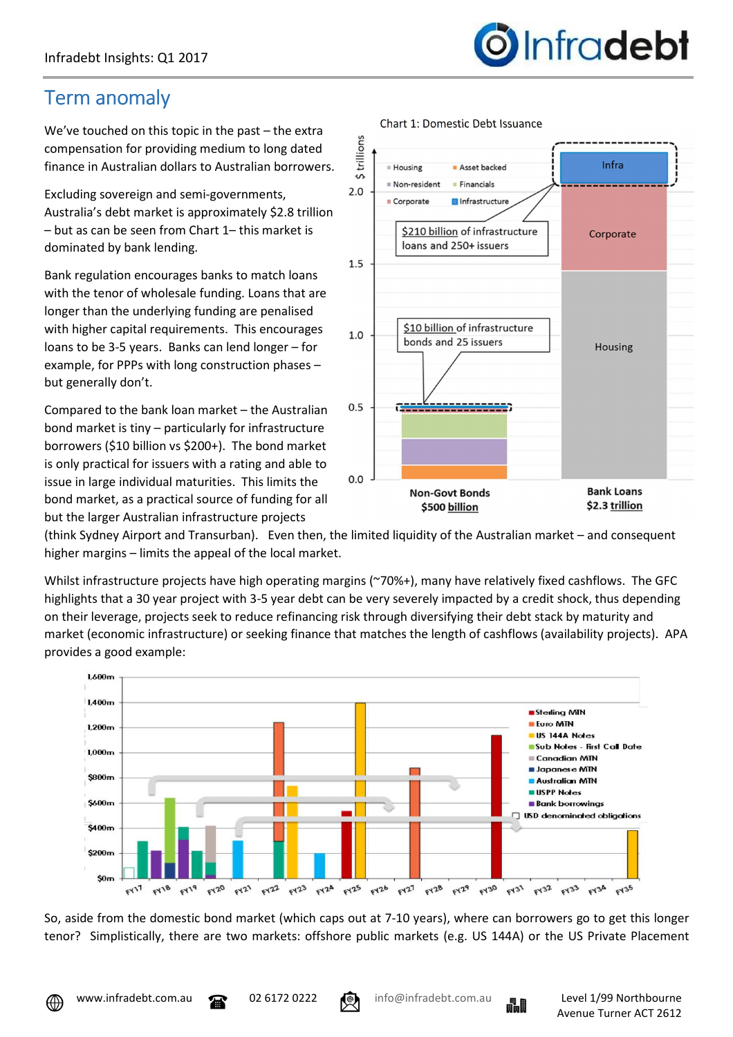## *Infradebt*

## Term anomaly

We've touched on this topic in the past – the extra compensation for providing medium to long dated finance in Australian dollars to Australian borrowers.

Excluding sovereign and semi-governments, Australia's debt market is approximately \$2.8 trillion – but as can be seen from Chart 1– this market is dominated by bank lending.

Bank regulation encourages banks to match loans with the tenor of wholesale funding. Loans that are longer than the underlying funding are penalised with higher capital requirements. This encourages loans to be 3-5 years. Banks can lend longer – for example, for PPPs with long construction phases – but generally don't.

Compared to the bank loan market – the Australian bond market is tiny – particularly for infrastructure borrowers (\$10 billion vs \$200+). The bond market is only practical for issuers with a rating and able to issue in large individual maturities. This limits the bond market, as a practical source of funding for all but the larger Australian infrastructure projects



Chart 1: Domestic Debt Issuance

(think Sydney Airport and Transurban). Even then, the limited liquidity of the Australian market – and consequent higher margins – limits the appeal of the local market.

Whilst infrastructure projects have high operating margins (~70%+), many have relatively fixed cashflows. The GFC highlights that a 30 year project with 3-5 year debt can be very severely impacted by a credit shock, thus depending on their leverage, projects seek to reduce refinancing risk through diversifying their debt stack by maturity and market (economic infrastructure) or seeking finance that matches the length of cashflows (availability projects). APA provides a good example:



So, aside from the domestic bond market (which caps out at 7-10 years), where can borrowers go to get this longer tenor? Simplistically, there are two markets: offshore public markets (e.g. US 144A) or the US Private Placement